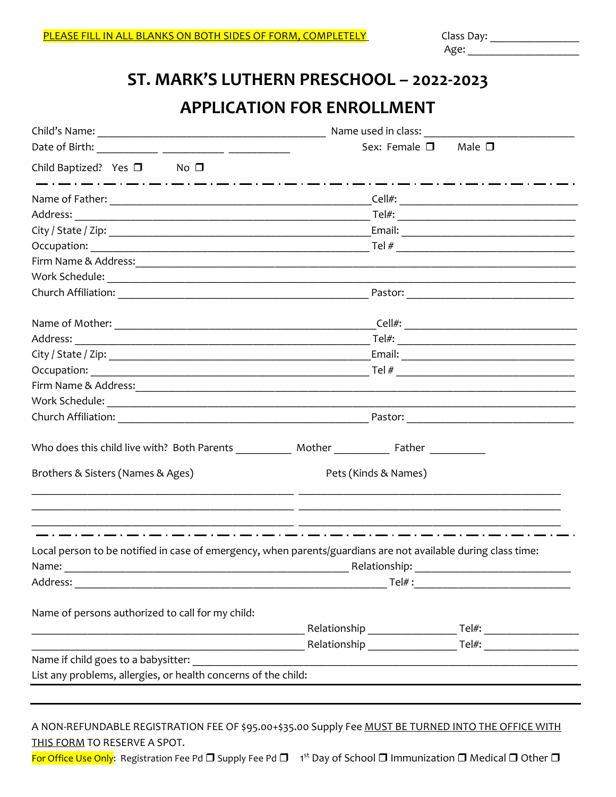Age: \_\_\_\_\_\_\_\_\_\_\_\_\_\_\_\_\_\_\_\_

# **ST. MARK'S LUTHERN PRESCHOOL – 2022-2023 APPLICATION FOR ENROLLMENT**

|                                                                                                                      | Sex: Female $\square$ Male $\square$ |  |  |
|----------------------------------------------------------------------------------------------------------------------|--------------------------------------|--|--|
| Child Baptized? Yes $\square$ No $\square$                                                                           |                                      |  |  |
| _ . __ . __ . __ <u>. _</u>                                                                                          |                                      |  |  |
|                                                                                                                      |                                      |  |  |
|                                                                                                                      |                                      |  |  |
|                                                                                                                      |                                      |  |  |
|                                                                                                                      |                                      |  |  |
|                                                                                                                      |                                      |  |  |
|                                                                                                                      |                                      |  |  |
|                                                                                                                      |                                      |  |  |
|                                                                                                                      |                                      |  |  |
|                                                                                                                      |                                      |  |  |
|                                                                                                                      |                                      |  |  |
| Firm Name & Address: 2008 2009 2010 2021 2022 2023 2024 2022 2023 2024 2022 2023 2024 2022 2023 2024 2022 2023       |                                      |  |  |
|                                                                                                                      |                                      |  |  |
|                                                                                                                      |                                      |  |  |
|                                                                                                                      |                                      |  |  |
| Brothers & Sisters (Names & Ages)                                                                                    | Pets (Kinds & Names)                 |  |  |
| Local person to be notified in case of emergency, when parents/guardians are not available during class time:        |                                      |  |  |
| Name:                                                                                                                | Relationship:                        |  |  |
|                                                                                                                      |                                      |  |  |
| Name of persons authorized to call for my child:                                                                     |                                      |  |  |
|                                                                                                                      |                                      |  |  |
| <u> Alexandria de la contrada de la contrada de la contrada de la contrada de la contrada de la contrada de la c</u> |                                      |  |  |
| Name if child goes to a babysitter:                                                                                  |                                      |  |  |
| List any problems, allergies, or health concerns of the child:                                                       |                                      |  |  |

#### A NON-REFUNDABLE REGISTRATION FEE OF \$95.00+\$35.00 Supply Fee MUST BE TURNED INTO THE OFFICE WITH THIS FORM TO RESERVE A SPOT.

<mark>For Office Use Only</mark>: Registration Fee Pd □ Supply Fee Pd □ 1<sup>st</sup> Day of School □ Immunization □ Medical □ Other □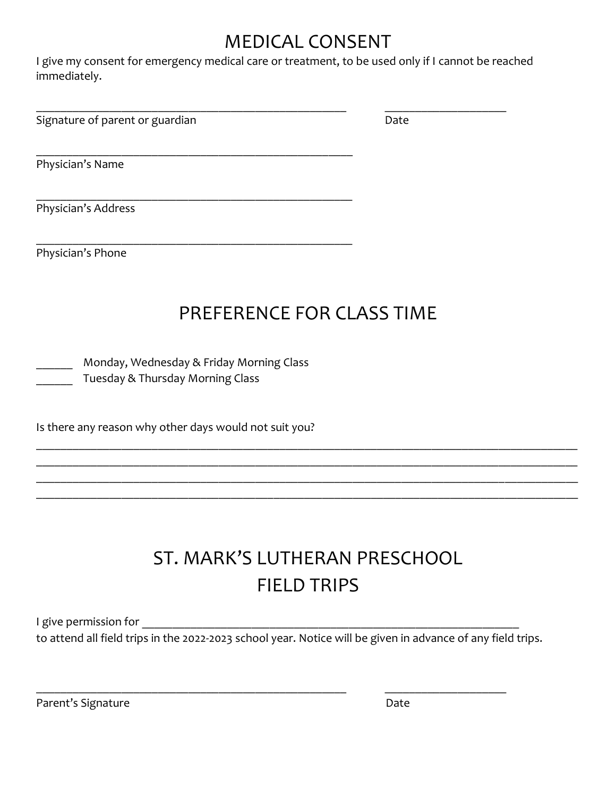# MEDICAL CONSENT

I give my consent for emergency medical care or treatment, to be used only if I cannot be reached immediately.

Signature of parent or guardian Date Date

\_\_\_\_\_\_\_\_\_\_\_\_\_\_\_\_\_\_\_\_\_\_\_\_\_\_\_\_\_\_\_\_\_\_\_\_\_\_\_\_\_\_\_\_\_\_\_\_\_\_\_ \_\_\_\_\_\_\_\_\_\_\_\_\_\_\_\_\_\_\_\_

Physician's Name

\_\_\_\_\_\_\_\_\_\_\_\_\_\_\_\_\_\_\_\_\_\_\_\_\_\_\_\_\_\_\_\_\_\_\_\_\_\_\_\_\_\_\_\_\_\_\_\_\_\_\_\_ Physician's Address

Physician's Phone

# PREFERENCE FOR CLASS TIME

Monday, Wednesday & Friday Morning Class \_\_\_\_\_\_ Tuesday & Thursday Morning Class

\_\_\_\_\_\_\_\_\_\_\_\_\_\_\_\_\_\_\_\_\_\_\_\_\_\_\_\_\_\_\_\_\_\_\_\_\_\_\_\_\_\_\_\_\_\_\_\_\_\_\_\_

\_\_\_\_\_\_\_\_\_\_\_\_\_\_\_\_\_\_\_\_\_\_\_\_\_\_\_\_\_\_\_\_\_\_\_\_\_\_\_\_\_\_\_\_\_\_\_\_\_\_\_\_

Is there any reason why other days would not suit you?

# ST. MARK'S LUTHERAN PRESCHOOL FIELD TRIPS

\_\_\_\_\_\_\_\_\_\_\_\_\_\_\_\_\_\_\_\_\_\_\_\_\_\_\_\_\_\_\_\_\_\_\_\_\_\_\_\_\_\_\_\_\_\_\_\_\_\_\_\_\_\_\_\_\_\_\_\_\_\_\_\_\_\_\_\_\_\_\_\_\_\_\_\_\_\_\_\_\_\_\_\_\_\_\_\_\_ \_\_\_\_\_\_\_\_\_\_\_\_\_\_\_\_\_\_\_\_\_\_\_\_\_\_\_\_\_\_\_\_\_\_\_\_\_\_\_\_\_\_\_\_\_\_\_\_\_\_\_\_\_\_\_\_\_\_\_\_\_\_\_\_\_\_\_\_\_\_\_\_\_\_\_\_\_\_\_\_\_\_\_\_\_\_\_\_\_ \_\_\_\_\_\_\_\_\_\_\_\_\_\_\_\_\_\_\_\_\_\_\_\_\_\_\_\_\_\_\_\_\_\_\_\_\_\_\_\_\_\_\_\_\_\_\_\_\_\_\_\_\_\_\_\_\_\_\_\_\_\_\_\_\_\_\_\_\_\_\_\_\_\_\_\_\_\_\_\_\_\_\_\_\_\_\_\_\_ \_\_\_\_\_\_\_\_\_\_\_\_\_\_\_\_\_\_\_\_\_\_\_\_\_\_\_\_\_\_\_\_\_\_\_\_\_\_\_\_\_\_\_\_\_\_\_\_\_\_\_\_\_\_\_\_\_\_\_\_\_\_\_\_\_\_\_\_\_\_\_\_\_\_\_\_\_\_\_\_\_\_\_\_\_\_\_\_\_

I give permission for **Example 20** 

to attend all field trips in the 2022-2023 school year. Notice will be given in advance of any field trips.

\_\_\_\_\_\_\_\_\_\_\_\_\_\_\_\_\_\_\_\_\_\_\_\_\_\_\_\_\_\_\_\_\_\_\_\_\_\_\_\_\_\_\_\_\_\_\_\_\_\_\_ \_\_\_\_\_\_\_\_\_\_\_\_\_\_\_\_\_\_\_\_

Parent's Signature Date Date Date